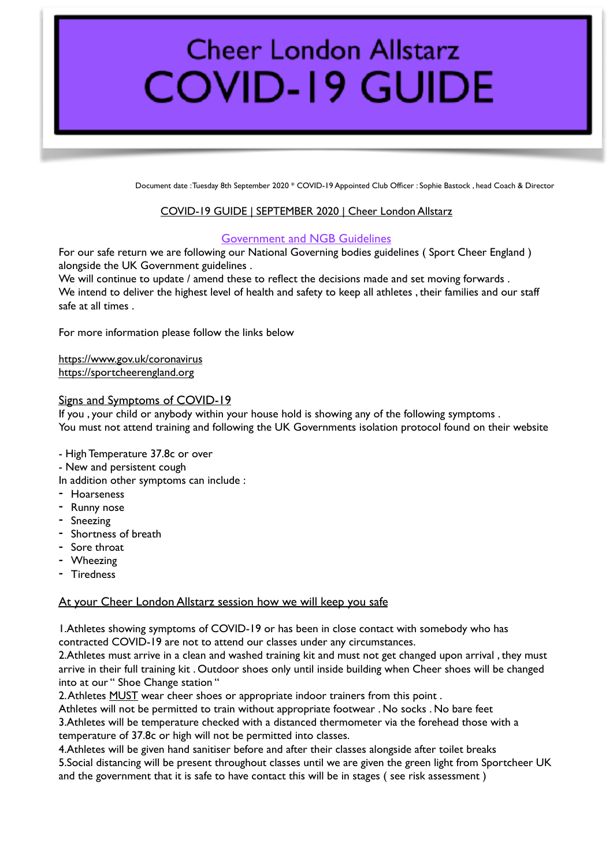# **Cheer London Allstarz COVID-19 GUIDE**

Document date : Tuesday 8th September 2020 \* COVID-19 Appointed Club Officer : Sophie Bastock , head Coach & Director

### COVID-19 GUIDE | SEPTEMBER 2020 | Cheer London Allstarz

### Government and NGB Guidelines

For our safe return we are following our National Governing bodies guidelines (Sport Cheer England) alongside the UK Government guidelines .

We will continue to update / amend these to reflect the decisions made and set moving forwards . We intend to deliver the highest level of health and safety to keep all athletes , their families and our staff safe at all times .

For more information please follow the links below

<https://www.gov.uk/coronavirus> <https://sportcheerengland.org>

### Signs and Symptoms of COVID-19

If you , your child or anybody within your house hold is showing any of the following symptoms . You must not attend training and following the UK Governments isolation protocol found on their website

- High Temperature 37.8c or over
- New and persistent cough
- In addition other symptoms can include :
- Hoarseness
- Runny nose
- Sneezing
- Shortness of breath
- Sore throat
- Wheezing
- Tiredness

## At your Cheer London Allstarz session how we will keep you safe

1.Athletes showing symptoms of COVID-19 or has been in close contact with somebody who has contracted COVID-19 are not to attend our classes under any circumstances.

2.Athletes must arrive in a clean and washed training kit and must not get changed upon arrival , they must arrive in their full training kit . Outdoor shoes only until inside building when Cheer shoes will be changed into at our " Shoe Change station "

2. Athletes MUST wear cheer shoes or appropriate indoor trainers from this point.

Athletes will not be permitted to train without appropriate footwear . No socks . No bare feet 3.Athletes will be temperature checked with a distanced thermometer via the forehead those with a temperature of 37.8c or high will not be permitted into classes.

4.Athletes will be given hand sanitiser before and after their classes alongside after toilet breaks 5.Social distancing will be present throughout classes until we are given the green light from Sportcheer UK and the government that it is safe to have contact this will be in stages ( see risk assessment )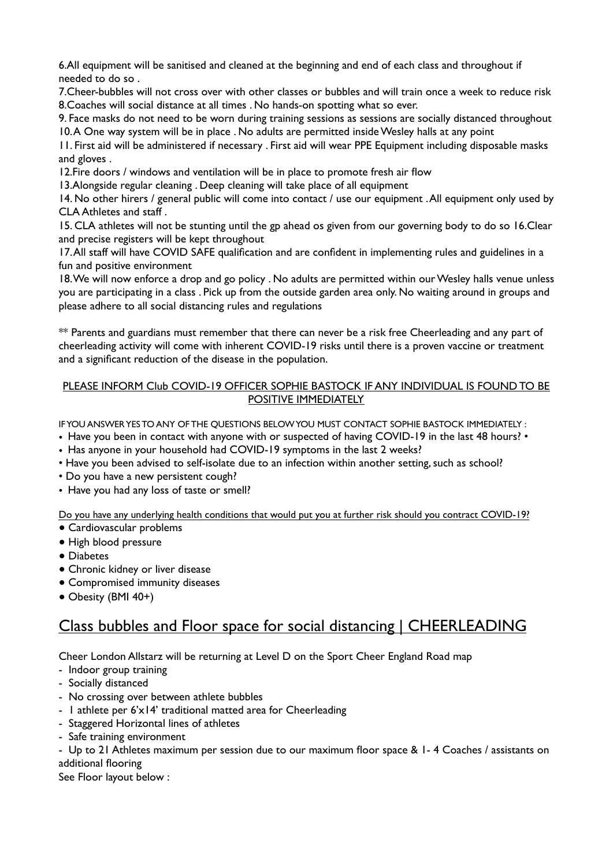6.All equipment will be sanitised and cleaned at the beginning and end of each class and throughout if needed to do so .

7.Cheer-bubbles will not cross over with other classes or bubbles and will train once a week to reduce risk 8.Coaches will social distance at all times . No hands-on spotting what so ever.

9. Face masks do not need to be worn during training sessions as sessions are socially distanced throughout 10. A One way system will be in place . No adults are permitted inside Wesley halls at any point

11. First aid will be administered if necessary . First aid will wear PPE Equipment including disposable masks and gloves .

12.Fire doors / windows and ventilation will be in place to promote fresh air flow

13.Alongside regular cleaning . Deep cleaning will take place of all equipment

14. No other hirers / general public will come into contact / use our equipment . All equipment only used by CLA Athletes and staff .

15. CLA athletes will not be stunting until the gp ahead os given from our governing body to do so 16.Clear and precise registers will be kept throughout

17. All staff will have COVID SAFE qualification and are confident in implementing rules and guidelines in a fun and positive environment

18. We will now enforce a drop and go policy . No adults are permitted within our Wesley halls venue unless you are participating in a class . Pick up from the outside garden area only. No waiting around in groups and please adhere to all social distancing rules and regulations

\*\* Parents and guardians must remember that there can never be a risk free Cheerleading and any part of cheerleading activity will come with inherent COVID-19 risks until there is a proven vaccine or treatment and a significant reduction of the disease in the population.

## PLEASE INFORM Club COVID-19 OFFICER SOPHIE BASTOCK IF ANY INDIVIDUAL IS FOUND TO BE POSITIVE IMMEDIATELY

IF YOU ANSWER YES TO ANY OF THE QUESTIONS BELOW YOU MUST CONTACT SOPHIE BASTOCK IMMEDIATELY :

- Have you been in contact with anyone with or suspected of having COVID-19 in the last 48 hours? •
- Has anyone in your household had COVID-19 symptoms in the last 2 weeks?
- Have you been advised to self-isolate due to an infection within another setting, such as school?
- Do you have a new persistent cough?
- Have you had any loss of taste or smell?

Do you have any underlying health conditions that would put you at further risk should you contract COVID-19?

- Cardiovascular problems
- High blood pressure
- Diabetes
- Chronic kidney or liver disease
- Compromised immunity diseases
- Obesity (BMI 40+)

## Class bubbles and Floor space for social distancing | CHEERLEADING

Cheer London Allstarz will be returning at Level D on the Sport Cheer England Road map

- Indoor group training
- Socially distanced
- No crossing over between athlete bubbles
- 1 athlete per 6'x14' traditional matted area for Cheerleading
- Staggered Horizontal lines of athletes
- Safe training environment

- Up to 21 Athletes maximum per session due to our maximum floor space & 1- 4 Coaches / assistants on additional flooring

See Floor layout below :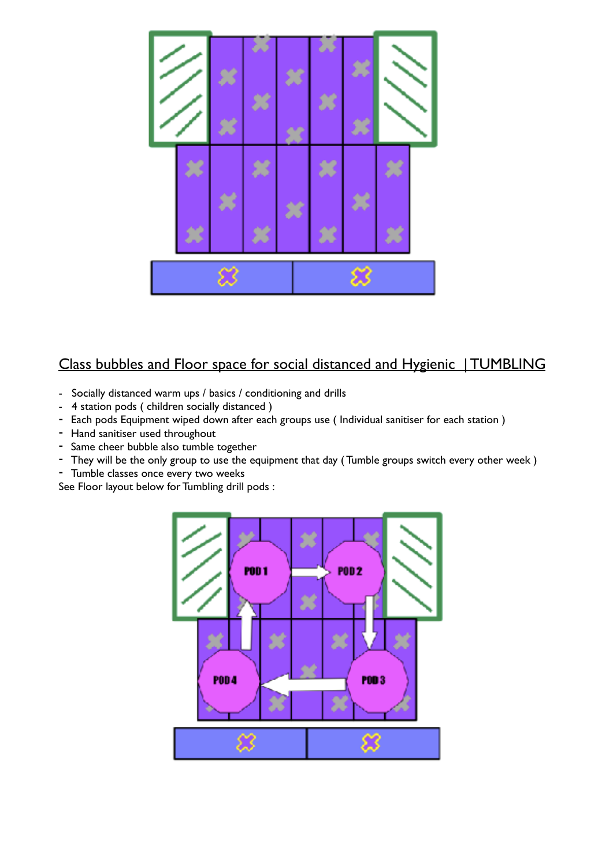

# Class bubbles and Floor space for social distanced and Hygienic | TUMBLING

- Socially distanced warm ups / basics / conditioning and drills
- 4 station pods ( children socially distanced )
- Each pods Equipment wiped down after each groups use ( Individual sanitiser for each station )
- Hand sanitiser used throughout
- Same cheer bubble also tumble together
- They will be the only group to use the equipment that day (Tumble groups switch every other week)
- Tumble classes once every two weeks

See Floor layout below for Tumbling drill pods :